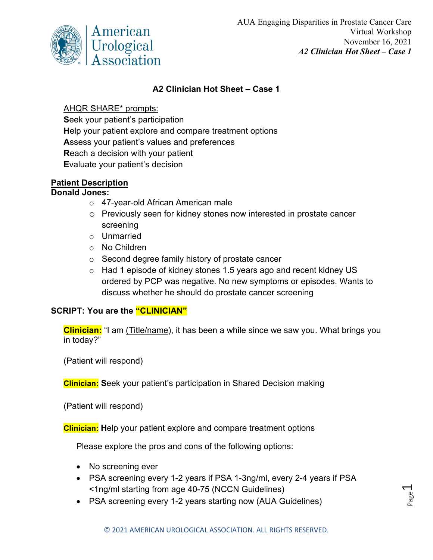

Page  $\overline{\phantom{0}}$ 

## **A2 Clinician Hot Sheet – Case 1**

## AHQR SHARE\* prompts:

**S**eek your patient's participation **H**elp your patient explore and compare treatment options **A**ssess your patient's values and preferences **R**each a decision with your patient **E**valuate your patient's decision

## **Patient Description**

### **Donald Jones:**

- o 47-year-old African American male
- o Previously seen for kidney stones now interested in prostate cancer screening
- o Unmarried
- o No Children
- o Second degree family history of prostate cancer
- $\circ$  Had 1 episode of kidney stones 1.5 years ago and recent kidney US ordered by PCP was negative. No new symptoms or episodes. Wants to discuss whether he should do prostate cancer screening

# **SCRIPT: You are the "CLINICIAN"**

**Clinician:** "I am (Title/name), it has been a while since we saw you. What brings you in today?"

(Patient will respond)

**Clinician: S**eek your patient's participation in Shared Decision making

(Patient will respond)

**Clinician: H**elp your patient explore and compare treatment options

Please explore the pros and cons of the following options:

- No screening ever
- PSA screening every 1-2 years if PSA 1-3ng/ml, every 2-4 years if PSA <1ng/ml starting from age 40-75 (NCCN Guidelines)
- PSA screening every 1-2 years starting now (AUA Guidelines)